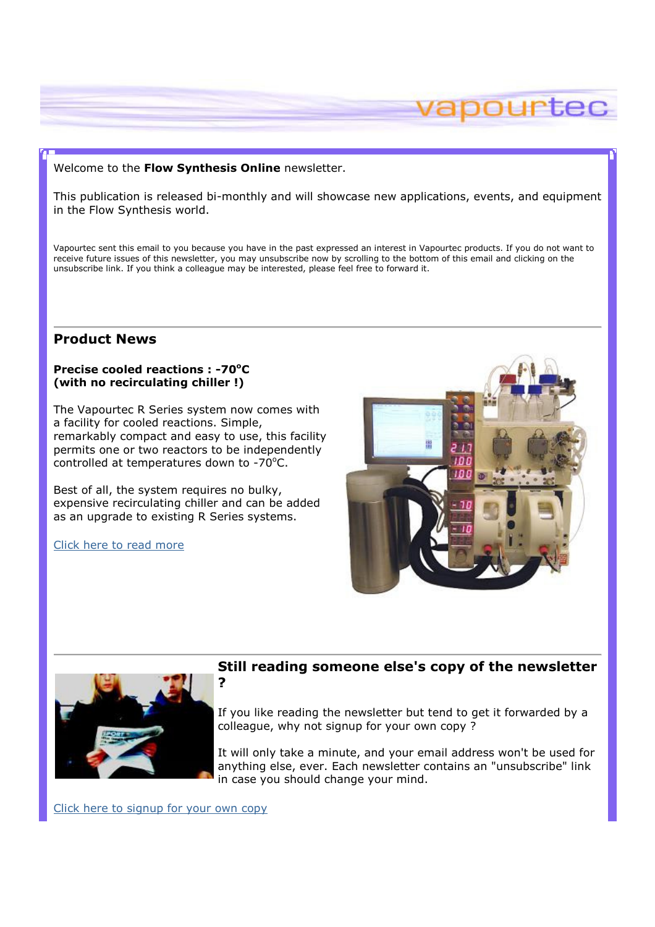## Welcome to the Flow Synthesis Online newsletter.

This publication is released bi-monthly and will showcase new applications, events, and equipment in the Flow Synthesis world.

Vapourtec sent this email to you because you have in the past expressed an interest in Vapourtec products. If you do not want to receive future issues of this newsletter, you may unsubscribe now by scrolling to the bottom of this email and clicking on the unsubscribe link. If you think a colleague may be interested, please feel free to forward it.

# Product News

## Precise cooled reactions : -70<sup>o</sup>C (with no recirculating chiller !)

The Vapourtec R Series system now comes with a facility for cooled reactions. Simple, remarkably compact and easy to use, this facility permits one or two reactors to be independently controlled at temperatures down to  $-70^{\circ}$ C.

Best of all, the system requires no bulky, expensive recirculating chiller and can be added as an upgrade to existing R Series systems.

?

Click here to read more



apourtec



# Still reading someone else's copy of the newsletter

If you like reading the newsletter but tend to get it forwarded by a colleague, why not signup for your own copy ?

It will only take a minute, and your email address won't be used for anything else, ever. Each newsletter contains an "unsubscribe" link in case you should change your mind.

Click here to signup for your own copy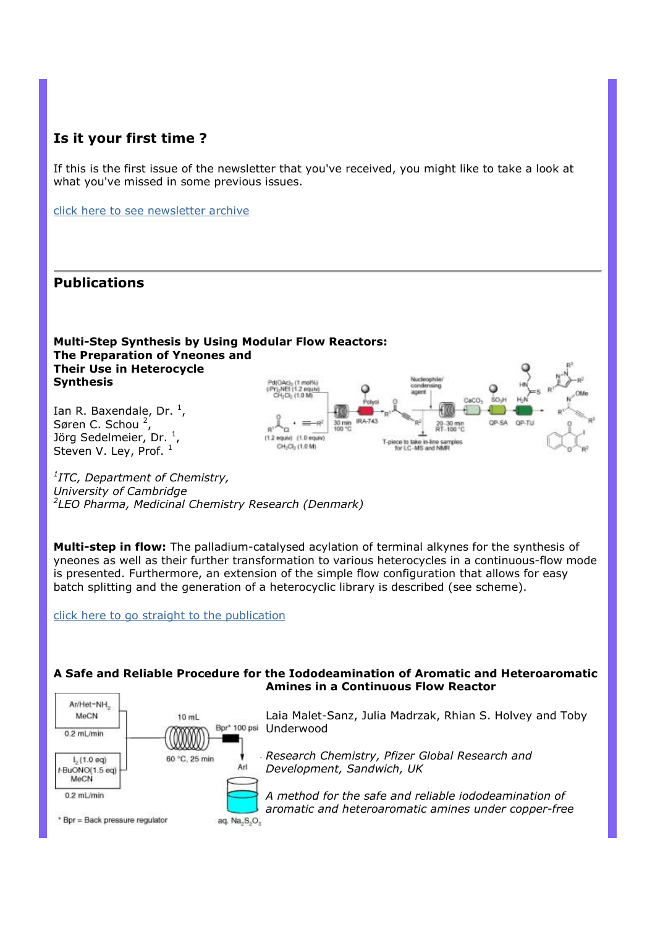# Is it your first time ?

If this is the first issue of the newsletter that you've received, you might like to take a look at what you've missed in some previous issues.

click here to see newsletter archive

# Publications

# Multi-Step Synthesis by Using Modular Flow Reactors: The Preparation of Yneones and Their Use in Heterocycle **Synthesis**

Ian R. Baxendale, Dr.  $<sup>1</sup>$ </sup> , Søren C. Schou<sup>2</sup>, Jörg Sedelmeier, Dr. <sup>1</sup>, Steven V. Ley, Prof.  $^1$ 

![](_page_1_Figure_6.jpeg)

<sup>1</sup>ITC, Department of Chemistry, University of Cambridge 2 LEO Pharma, Medicinal Chemistry Research (Denmark)

Multi-step in flow: The palladium-catalysed acylation of terminal alkynes for the synthesis of yneones as well as their further transformation to various heterocycles in a continuous-flow mode is presented. Furthermore, an extension of the simple flow configuration that allows for easy batch splitting and the generation of a heterocyclic library is described (see scheme).

click here to go straight to the publication

 $10$  mL

60 °C. 25 min

Arl

aq. Na<sub>2</sub>S<sub>2</sub>O<sub>3</sub>

# A Safe and Reliable Procedure for the Iododeamination of Aromatic and Heteroaromatic Amines in a Continuous Flow Reactor

Laia Malet-Sanz, Julia Madrzak, Rhian S. Holvey and Toby Bpr\* 100 psi Underwood

> Research Chemistry, Pfizer Global Research and Development, Sandwich, UK

A method for the safe and reliable iododeamination of aromatic and heteroaromatic amines under copper-free

\* Bpr = Back pressure regulator

Ar/Het-NH<sub>2</sub> **MeCN** 

 $1, (1.0 eq)$ 

t-BuONO(1.5 eg) MeCN  $0.2$  ml /min

 $0.2$  ml /min